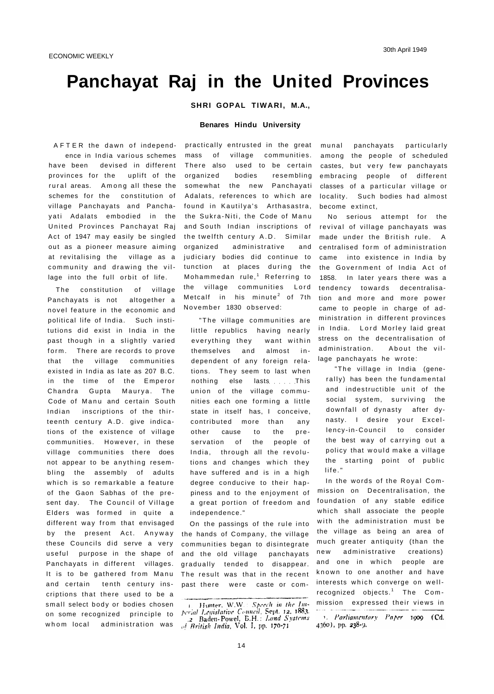# **Panchayat Raj in the United Provinces**

**SHRI GOPAL TIWARI, M.A.,** 

### **Benares Hindu University**

AFTER the dawn of independence in India various schemes have been devised in different provinces for the uplift of the rural areas. Among all these the schemes for the constitution of village Panchayats and Panchayati Adalats embodied in the United Provinces Panchayat Raj Act of 1947 may easily be singled out as a pioneer measure aiming at revitalising the village as a community and drawing the village into the full orbit of life.

The constitution of village Panchayats is not altogether a novel feature in the economic and political life of India. Such institutions did exist in India in the past though in a slightly varied form. There are records to prove that the village communities existed in India as late as 207 B.C. in the time of the Emperor Chandra Gupta Maurya. The Code of Manu and certain South Indian inscriptions of the thirteenth century A.D. give indications of the existence of village communities. However, in these village communities there does not appear to be anything resembling the assembly of adults which is so remarkable a feature of the Gaon Sabhas of the present day. The Council of Village Elders was formed in quite a different way from that envisaged by the present Act. Anyway these Councils did serve a very useful purpose in the shape of Panchayats in different villages. It is to be gathered from Manu and certain tenth century inscriptions that there used to be a small select body or bodies chosen on some recognized principle to whom local administration was

practically entrusted in the great mass of village communities. There also used to be certain organized bodies resembling somewhat the new Panchayati Adalats, references to which are found in Kautilya's Arthasastra, the Sukra-Niti, the Code of Manu and South Indian inscriptions of the twelfth century A.D. Similar organized administrative and judiciary bodies did continue to tunction at places during the Mohammedan rule,<sup>1</sup> Referring to the village communities Lord Metcalf in his minute $2$  of 7th November 1830 observed:

"The village communities are little republics having nearly everything they want within themselves and almost in dependent of any foreign relations. They seem to last when nothing else lasts This union of the village communities each one forming a little state in itself has, I conceive, contributed more than any other cause to the preservation of the people of India, through all the revolutions and changes which they have suffered and is in a high degree conducive to their happiness and to the enjoyment of a great portion of freedom and independence."

On the passings of the rule into the hands of Company, the village communities began to disintegrate and the old village panchayats gradually tended to disappear. The result was that in the recent past there were caste or com-

munal panchayats particularly among the people of scheduled castes, but very few panchayats embracing people of different classes of a particular village or locality. Such bodies had almost become extinct,

No serious attempt for the revival of village panchayats was made under the British rule. A centralised form of administration came into existence in India by the Government of India Act of 1858. In later years there was a tendency towards decentralisation and more and more power came to people in charge of administration in different provinces in India. Lord Morley laid great stress on the decentralisation of administration. About the village panchayats he wrote:

"The village in India (generally) has been the fundamental and indestructible unit of the social system, surviving the downfall of dynasty after dynasty. I desire your Excellency-in-Council to consider the best way of carrying out a policy that would make a village the starting point of public life."

In the words of the Royal Commission on Decentralisation, the foundation of any stable edifice which shall associate the people with the administration must be the village as being an area of much greater antiquity (than the new administrative creations) and one in which people are known to one another and have interests which converge on wellrecognized objects.<sup>1</sup> The Commission expressed their views in

Hunter, W.W.: Speech in the Intperial Legislative Council, Sept. 12, 1883.<br>2 Baden-Powel, B.H.: Land Systems of British India, Vol. I, pp. 170-71

<sup>1.</sup> Parliamentary Paper 1909 (Cd. 4360), pp. 238-9.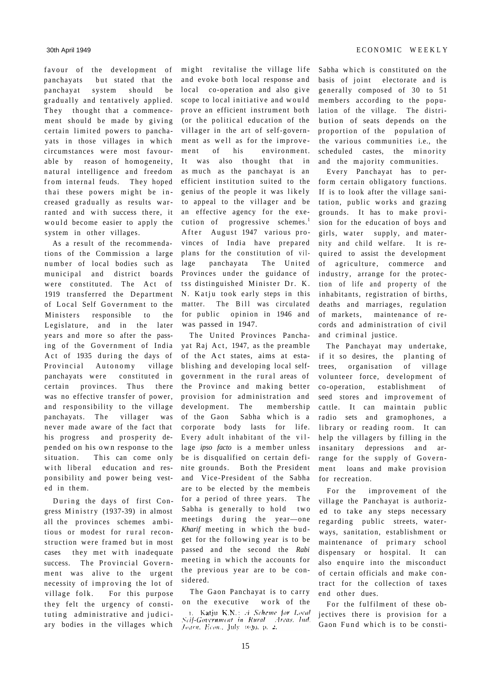favour of the development of might revitalise the village life panchayats but stated that the panchayat system should be gradually and tentatively applied. They thought that a commencement should be made by giving certain limited powers to panchayats in those villages in which circumstances were most favourable by reason of homogeneity, natural intelligence and freedom from internal feuds. They hoped thai these powers might be increased gradually as results warranted and with success there, it would become easier to apply the system in other villages.

As a result of the recommendations of the Commission a large number of local bodies such as municipal and district boards were constituted. The Act of 1919 transferred the Department of Local Self Government to the Ministers responsible to the Legislature, and in the later years and more so after the passing of the Government of India Act of 1935 during the days of Provincial Autonomy village panchayats were constituted in certain provinces. Thus there was no effective transfer of power, and responsibility to the village panchayats. The villager was never made aware of the fact that his progress and prosperity depended on his ow n response to the situation. This can come only with liberal education and responsibility and power being vested in them.

During the days of first Congress Ministry (1937-39) in almost all the provinces schemes ambitious or modest for rural reconstruction were framed but in most cases they met with inadequate success. The Provincial Government was alive to the urgent necessity of improving the lot of village folk. For this purpose they felt the urgency of constituting administrative and judiciary bodies in the villages which

and evoke both local response and local co-operation and also give scope to local initiative and would prove an efficient instrument both (or the political education of the villager in the art of self-government as well as for the improvement of his environment. It was also thought that in as much as the panchayat is an efficient institution suited to the genius of the people it was likely to appeal to the villager and be an effective agency for the execution of progressive schemes.<sup>1</sup> After August 1947 various provinces of India have prepared plans for the constitution of village panchayata The United Provinces under the guidance of tss distinguished Minister Dr. K. N. Katju took early steps in this matter. The Bill was circulated for public opinion in 1946 and was passed in 1947.

The United Provinces Panchayat Raj Act, 1947, as the preamble of the Act states, aims at establishing and developing local selfgovernment in the rural areas of the Province and making better provision for administration and development. The membership of the Gaon Sabha which is a corporate body lasts for life. Every adult inhabitant of the village *ipso facto* is a member unless be is disqualified on certain definite grounds. Both the President and Vice-President of the Sabha are to be elected by the membeis for a period of three years. The Sabha is generally to hold two meetings during the year-one *Kharif* meeting in which the budget for the following year is to be passed and the second the *Rabi*  meeting in which the accounts for the previous year are to be considered.

The Gaon Panchayat is to carry on the executive work of the Katju K.N.: A Scheme for Local Seif-Government in Rural Areas, Ind. Journ. Econ., July 1030, p. 2.

Sabha which is constituted on the basis of joint electorate and is generally composed of 30 to 51 members according to the population of the village. The distribution of seats depends on the proportion of the population of the various communities i.e., the scheduled castes, the minority and the majority communities.

Every Panchayat has to perform certain obligatory functions. If is to look after the village sanitation, public works and grazing grounds. It has to make provision for the education of boys and girls, water supply, and maternity and child welfare. It is required to assist the development of agriculture, commerce and industry, arrange for the protection of life and property of the inhabitants, registration of births, deaths and marriages, regulation of markets, maintenance of records and administration of civil and criminal justice.

The Panchayat may undertake, if it so desires, the planting of trees, organisation of village volunteer force, development of co-operation, establishment of seed stores and improvement of cattle. It can maintain public radio sets and gramophones, a library or reading room. It can help the villagers by filling in the insanitary depressions and arrange for the supply of Government loans and make provision for recreation.

For the improvement of the village the Panchayat is authorized to take any steps necessary regarding public streets, waterways, sanitation, establishment or maintenance of primary school dispensary or hospital. It can also enquire into the misconduct of certain officials and make contract for the collection of taxes end other dues.

For the fulfilment of these objectives there is provision for a Gaon Fund which is to be consti-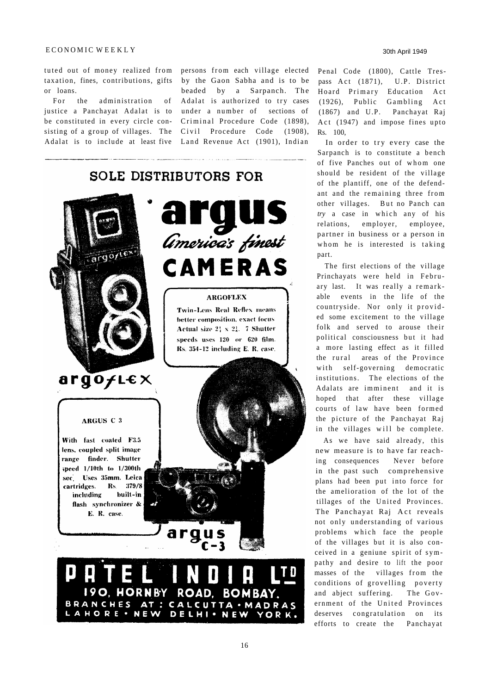## ECONOMIC WEEKLY

or loans.

For the administration of justice a Panchayat Adalat is to Adalat is to include at least five Land Revenue Act (1901), Indian

tuted out of money realized from persons from each village elected Penal Code (1800), Cattle Trestaxation, fines, contributions, gifts by the Gaon Sabha and is to be be constituted in every circle con- Criminal Procedure Code (1898), sisting of a group of villages. The Civil Procedure Code (1908), beaded by a Sarpanch. The Adalat is authorized to try cases under a number of sections of

# **SOLE DISTRIBUTORS FOR** *Americas* finest  $regot$ CAMERAS **ARGOFLEX Twin-Lens Real Reflex means** better composition, exact focus Actual size  $2_1^1 \times 2_4^1$ . 7 Shutter speeds uses  $120$  or  $620$  film. Rs. 354-12 including E. R. case. argofLex ARGUS C 3 With fast coated F3.5 lens, coupled split image range finder. Shutter speed 1/10th to 1/300th sec. Uses 35mm. Leica cartridges. Rs. 379/8 including built-in flash synchronizer & E. R. case. 190. HORNBY ROAD. **BOMBAY.** BRANCHES AT : CALCUTTA · MADRAS LAHORE · NEW DELHI · NEW YORK.

pass Act (1871), U.P. District Hoard Primary Education Act (1926), Public Gambling Act (1867) and U.P. Panchayat Raj Act (1947) and impose fines upto Rs. 100,

In order to try every case the Sarpanch is to constitute a bench of five Panches out of whom one should be resident of the village of the plantiff, one of the defendant and the remaining three from other villages. But no Panch can *try* a case in which any of his relations, employer, employee, partner in business or a person in whom he is interested is taking part.

The first elections of the village Princhayats were held in February last. It was really a remark able events in the life of the countryside. Nor only it provided some excitement to the village folk and served to arouse their political consciousness but it had a more lasting effect as it filled the rural areas of the Province with self-governing democratic institutions. The elections of the Adalats are imminent and it is hoped that after these village courts of law have been formed the picture of the Panchayat Raj in the villages will be complete.

As we have said already, this new measure is to have far reaching consequences Never before in the past such comprehensive plans had been put into force for the amelioration of the lot of the tillages of the United Provinces. The Panchayat Raj Act reveals not only understanding of various problems which face the people of the villages but it is also conceived in a geniune spirit of sympathy and desire to lift the poor masses of the villages from the conditions of grovelling poverty and abject suffering. The Government of the United Provinces deserves congratulation on its efforts to create the Panchayat